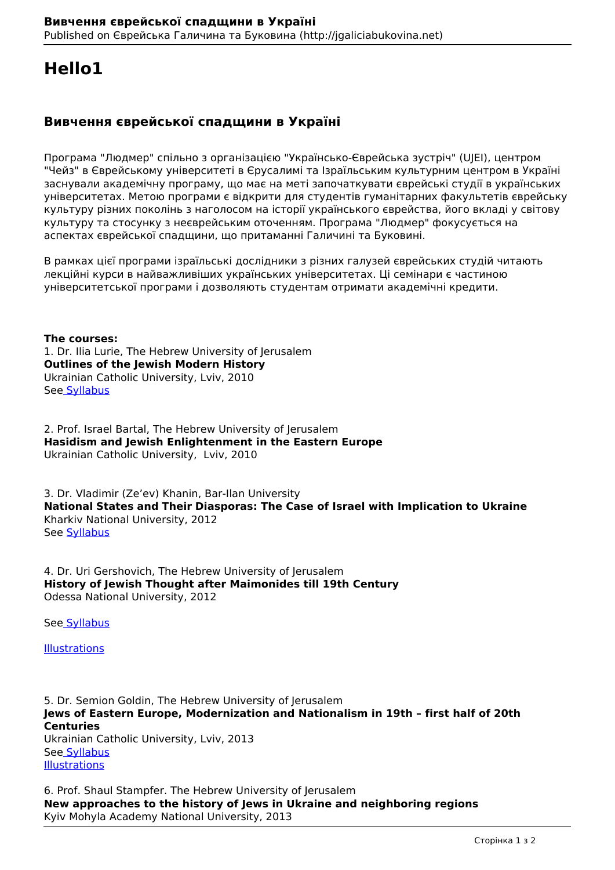# **Hello1**

# **Вивчення єврейської спадщини в Україні**

Програма "Людмер" спільно з організацією "Українсько-Єврейська зустріч" (UJEI), центром "Чейз" в Єврейському університеті в Єрусалимі та Ізраїльським культурним центром в Україні заснували академічну програму, що має на меті започаткувати єврейські студії в українських університетах. Метою програми є відкрити для студентів гуманітарних факультетів єврейську культуру різних поколінь з наголосом на історії українського єврейства, його вкладі у світову культуру та стосунку з неєврейським оточенням. Програма "Людмер" фокусується на аспектах єврейської спадщини, що притаманні Галичині та Буковині.

В рамках цієї програми ізраїльські дослідники з різних галузей єврейських студій читають лекційні курси в найважливіших українських університетах. Ці семінари є частиною університетської програми і дозволяють студентам отримати академічні кредити.

**The courses:** 1. Dr. Ilia Lurie, The Hebrew University of Jerusalem **Outlines of the Jewish Modern History** Ukrainian Catholic University, Lviv, 2010 Se[e Syllabus](http://jgaliciabukovina.net/sites/default/files/article_file/outlines%20of%20the%20Jewish%20Modern%20History.pdf)

2. Prof. Israel Bartal, The Hebrew University of Jerusalem **Hasidism and Jewish Enlightenment in the Eastern Europe** Ukrainian Catholic University, Lviv, 2010

3. Dr. Vladimir (Ze'ev) Khanin, Bar-Ilan University **National States and Their Diasporas: The Case of Israel with Implication to Ukraine**  Kharkiv National University, 2012 See Syllabus

4. Dr. Uri Gershovich, The Hebrew University of Jerusalem **History of Jewish Thought after Maimonides till 19th Century** Odessa National University, 2012

See Syllabus

**Illustrations** 

5. Dr. Semion Goldin, The Hebrew University of Jerusalem **Jews of Eastern Europe, Modernization and Nationalism in 19th – first half of 20th Centuries** Ukrainian Catholic University, Lviv, 2013 See Syllabus **Illustrations** 

6. Prof. Shaul Stampfer. The Hebrew University of Jerusalem **New approaches to the history of Jews in Ukraine and neighboring regions** Kyiv Mohyla Academy National University, 2013